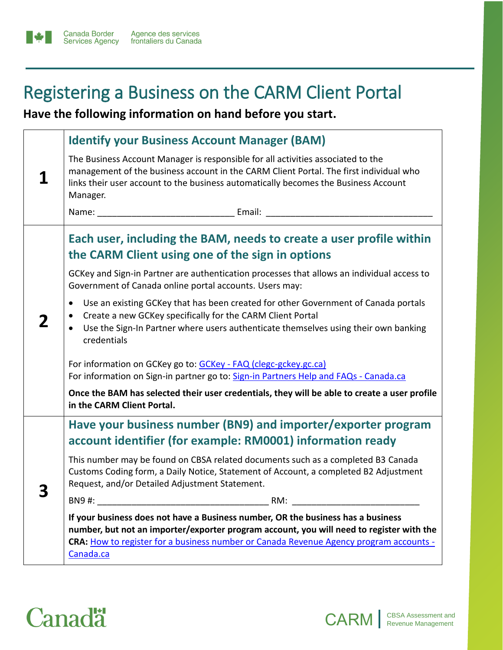## Registering a Business on the CARM Client Portal

**Have the following information on hand before you start.** 

|  | <b>Identify your Business Account Manager (BAM)</b>                                                                                                                                                                                                                                 |
|--|-------------------------------------------------------------------------------------------------------------------------------------------------------------------------------------------------------------------------------------------------------------------------------------|
|  | The Business Account Manager is responsible for all activities associated to the<br>management of the business account in the CARM Client Portal. The first individual who<br>links their user account to the business automatically becomes the Business Account<br>Manager.       |
|  |                                                                                                                                                                                                                                                                                     |
|  | Each user, including the BAM, needs to create a user profile within<br>the CARM Client using one of the sign in options                                                                                                                                                             |
|  | GCKey and Sign-in Partner are authentication processes that allows an individual access to<br>Government of Canada online portal accounts. Users may:                                                                                                                               |
|  | Use an existing GCKey that has been created for other Government of Canada portals<br>$\bullet$<br>Create a new GCKey specifically for the CARM Client Portal<br>Use the Sign-In Partner where users authenticate themselves using their own banking<br>credentials                 |
|  | For information on GCKey go to: GCKey - FAQ (clegc-gckey.gc.ca)<br>For information on Sign-in partner go to: Sign-in Partners Help and FAQs - Canada.ca                                                                                                                             |
|  | Once the BAM has selected their user credentials, they will be able to create a user profile<br>in the CARM Client Portal.                                                                                                                                                          |
|  | Have your business number (BN9) and importer/exporter program<br>account identifier (for example: RM0001) information ready                                                                                                                                                         |
|  | This number may be found on CBSA related documents such as a completed B3 Canada<br>Customs Coding form, a Daily Notice, Statement of Account, a completed B2 Adjustment<br>Request, and/or Detailed Adjustment Statement.                                                          |
|  | BN9#:<br>RM:                                                                                                                                                                                                                                                                        |
|  | If your business does not have a Business number, OR the business has a business<br>number, but not an importer/exporter program account, you will need to register with the<br>CRA: How to register for a business number or Canada Revenue Agency program accounts -<br>Canada.ca |

CARM | CBSA Assessment and

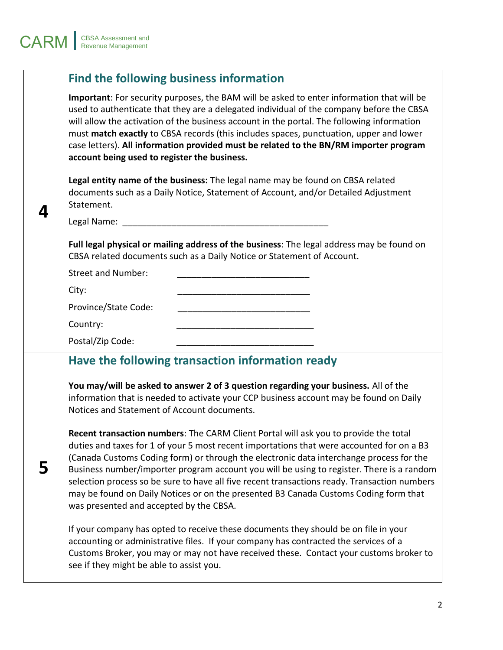|   | Find the following business information                                                                                                                                                                                                                                                                                                                                                                                                                                                                                                                                                                      |  |  |
|---|--------------------------------------------------------------------------------------------------------------------------------------------------------------------------------------------------------------------------------------------------------------------------------------------------------------------------------------------------------------------------------------------------------------------------------------------------------------------------------------------------------------------------------------------------------------------------------------------------------------|--|--|
|   | Important: For security purposes, the BAM will be asked to enter information that will be<br>used to authenticate that they are a delegated individual of the company before the CBSA<br>will allow the activation of the business account in the portal. The following information<br>must match exactly to CBSA records (this includes spaces, punctuation, upper and lower<br>case letters). All information provided must be related to the BN/RM importer program<br>account being used to register the business.                                                                                       |  |  |
| 4 | Legal entity name of the business: The legal name may be found on CBSA related<br>documents such as a Daily Notice, Statement of Account, and/or Detailed Adjustment<br>Statement.                                                                                                                                                                                                                                                                                                                                                                                                                           |  |  |
|   | Legal Name: 1999                                                                                                                                                                                                                                                                                                                                                                                                                                                                                                                                                                                             |  |  |
|   | Full legal physical or mailing address of the business: The legal address may be found on<br>CBSA related documents such as a Daily Notice or Statement of Account.                                                                                                                                                                                                                                                                                                                                                                                                                                          |  |  |
|   | <b>Street and Number:</b>                                                                                                                                                                                                                                                                                                                                                                                                                                                                                                                                                                                    |  |  |
|   | City:                                                                                                                                                                                                                                                                                                                                                                                                                                                                                                                                                                                                        |  |  |
|   | Province/State Code:                                                                                                                                                                                                                                                                                                                                                                                                                                                                                                                                                                                         |  |  |
|   | Country:                                                                                                                                                                                                                                                                                                                                                                                                                                                                                                                                                                                                     |  |  |
|   | Postal/Zip Code:                                                                                                                                                                                                                                                                                                                                                                                                                                                                                                                                                                                             |  |  |
|   | Have the following transaction information ready                                                                                                                                                                                                                                                                                                                                                                                                                                                                                                                                                             |  |  |
|   | You may/will be asked to answer 2 of 3 question regarding your business. All of the<br>information that is needed to activate your CCP business account may be found on Daily<br>Notices and Statement of Account documents.                                                                                                                                                                                                                                                                                                                                                                                 |  |  |
| 5 | Recent transaction numbers: The CARM Client Portal will ask you to provide the total<br>duties and taxes for 1 of your 5 most recent importations that were accounted for on a B3<br>(Canada Customs Coding form) or through the electronic data interchange process for the<br>Business number/importer program account you will be using to register. There is a random<br>selection process so be sure to have all five recent transactions ready. Transaction numbers<br>may be found on Daily Notices or on the presented B3 Canada Customs Coding form that<br>was presented and accepted by the CBSA. |  |  |
|   | If your company has opted to receive these documents they should be on file in your<br>accounting or administrative files. If your company has contracted the services of a<br>Customs Broker, you may or may not have received these. Contact your customs broker to<br>see if they might be able to assist you.                                                                                                                                                                                                                                                                                            |  |  |